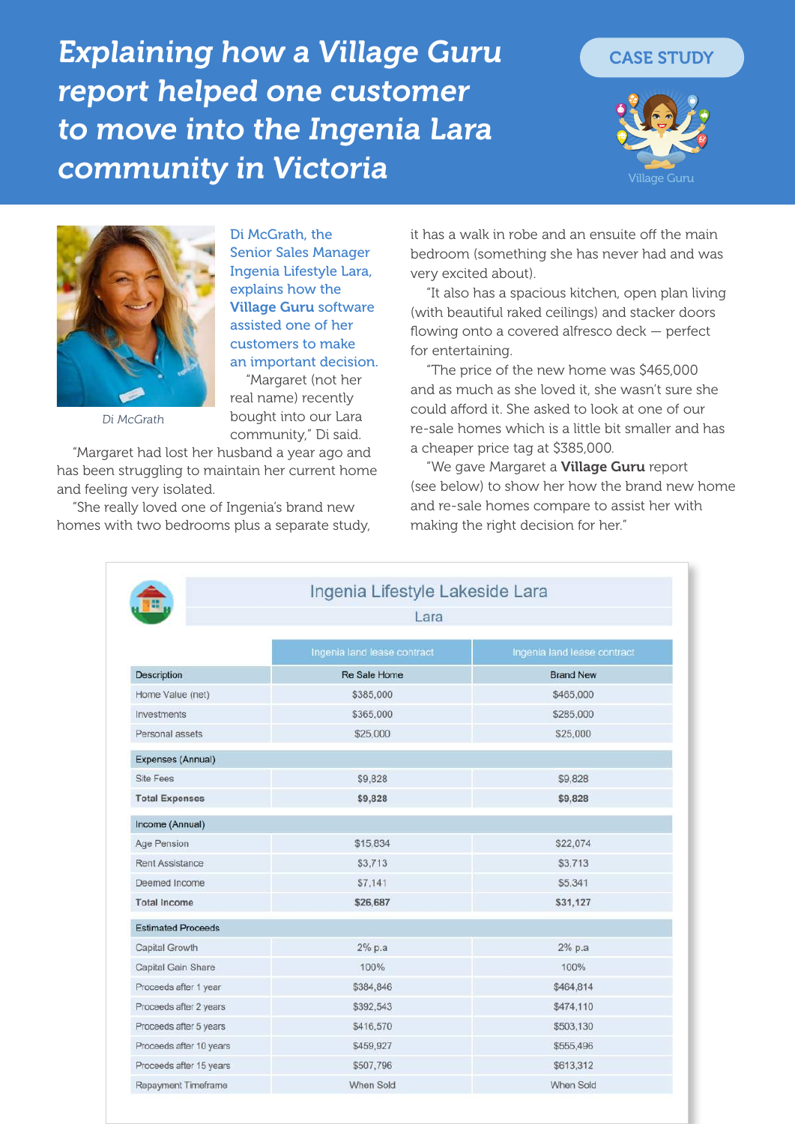Explaining how a Village Guru CASE STUDY report helped one customer to move into the Ingenia Lara community in Victoria







Di McGrath

Di McGrath, the Senior Sales Manager Ingenia Lifestyle Lara, explains how the Village Guru software assisted one of her customers to make an important decision.

"Margaret (not her real name) recently bought into our Lara community," Di said.

"Margaret had lost her husband a year ago and has been struggling to maintain her current home and feeling very isolated.

"She really loved one of Ingenia's brand new homes with two bedrooms plus a separate study, it has a walk in robe and an ensuite off the main bedroom (something she has never had and was very excited about).

"It also has a spacious kitchen, open plan living (with beautiful raked ceilings) and stacker doors flowing onto a covered alfresco deck — perfect for entertaining.

"The price of the new home was \$465,000 and as much as she loved it, she wasn't sure she could afford it. She asked to look at one of our re‑sale homes which is a little bit smaller and has a cheaper price tag at \$385,000.

"We gave Margaret a Village Guru report (see below) to show her how the brand new home and re-sale homes compare to assist her with making the right decision for her."

|                           | Ingenia Lifestyle Lakeside Lara |                             |
|---------------------------|---------------------------------|-----------------------------|
|                           | Lara                            |                             |
|                           | Ingenia land lease contract     | Ingenia land lease contract |
| <b>Description</b>        | Re Sale Home                    | <b>Brand New</b>            |
| Home Value (net)          | \$385,000                       | \$465,000                   |
| Investments               | \$365,000                       | \$285,000                   |
| Personal assets           | \$25,000                        | \$25,000                    |
| Expenses (Annual)         |                                 |                             |
| <b>Site Fees</b>          | \$9,828                         | \$9,828                     |
| <b>Total Expenses</b>     | \$9,828                         | \$9,828                     |
| Income (Annual)           |                                 |                             |
| Age Pension               | \$15,834                        | \$22,074                    |
| <b>Rent Assistance</b>    | \$3,713                         | \$3,713                     |
| Deemed Income             | \$7,141                         | \$5,341                     |
| <b>Total Income</b>       | \$26,687                        | \$31,127                    |
| <b>Estimated Proceeds</b> |                                 |                             |
| Capital Growth            | 2% p.a                          | 2% p.a                      |
| Capital Gain Share        | 100%                            | 100%                        |
| Proceeds after 1 year     | \$384,846                       | \$464,814                   |
| Proceeds after 2 years    | \$392,543                       | \$474,110                   |
| Proceeds after 5 years    | \$416,570                       | \$503,130                   |
| Proceeds after 10 years   | \$459,927                       | \$555,496                   |
| Proceeds after 15 years   | \$507,796                       | \$613,312                   |
| Repayment Timeframe       | When Sold                       | When Sold                   |